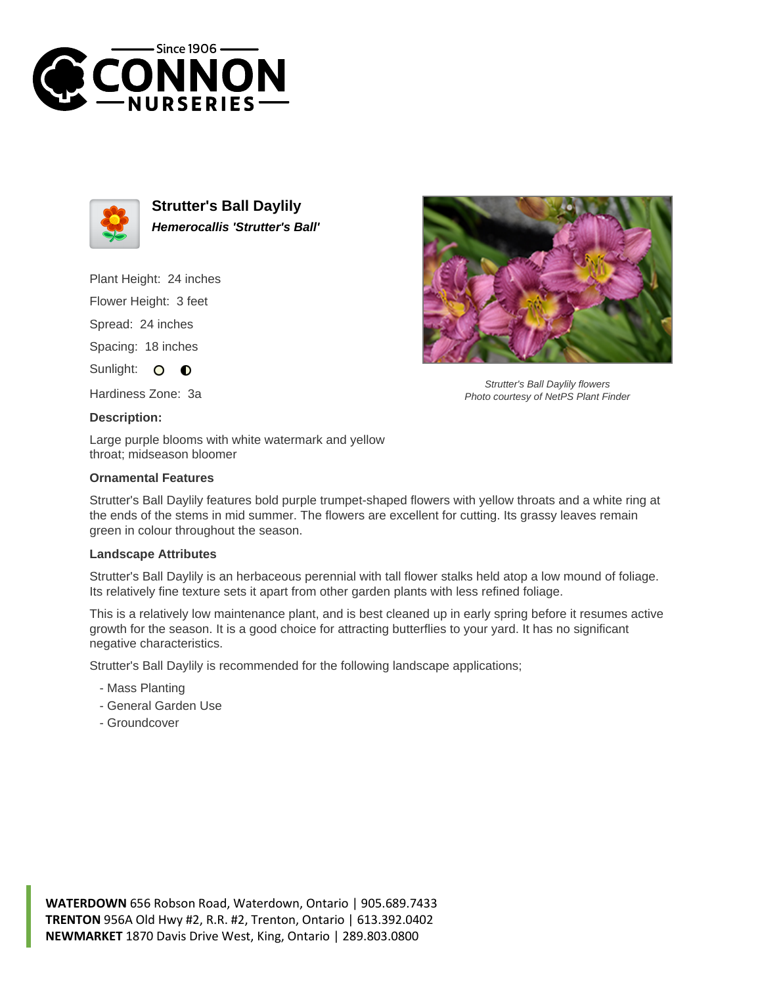



**Strutter's Ball Daylily Hemerocallis 'Strutter's Ball'**

Plant Height: 24 inches

Flower Height: 3 feet

Spread: 24 inches

Spacing: 18 inches

Sunlight: O **O** 

Hardiness Zone: 3a

## **Description:**

Large purple blooms with white watermark and yellow throat; midseason bloomer

## **Ornamental Features**

Strutter's Ball Daylily features bold purple trumpet-shaped flowers with yellow throats and a white ring at the ends of the stems in mid summer. The flowers are excellent for cutting. Its grassy leaves remain green in colour throughout the season.

## **Landscape Attributes**

Strutter's Ball Daylily is an herbaceous perennial with tall flower stalks held atop a low mound of foliage. Its relatively fine texture sets it apart from other garden plants with less refined foliage.

This is a relatively low maintenance plant, and is best cleaned up in early spring before it resumes active growth for the season. It is a good choice for attracting butterflies to your yard. It has no significant negative characteristics.

Strutter's Ball Daylily is recommended for the following landscape applications;

- Mass Planting
- General Garden Use
- Groundcover



Strutter's Ball Daylily flowers Photo courtesy of NetPS Plant Finder

**WATERDOWN** 656 Robson Road, Waterdown, Ontario | 905.689.7433 **TRENTON** 956A Old Hwy #2, R.R. #2, Trenton, Ontario | 613.392.0402 **NEWMARKET** 1870 Davis Drive West, King, Ontario | 289.803.0800